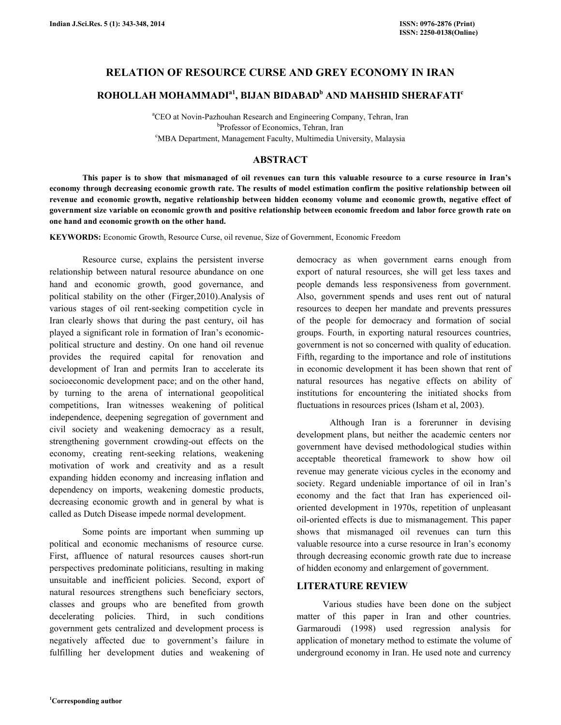## RELATION OF RESOURCE CURSE AND GREY ECONOMY IN IRAN

# ROHOLLAH MOHAMMADI<sup>a1</sup>, BIJAN BIDABAD<sup>b</sup> AND MAHSHID SHERAFATI<sup>c</sup>

<sup>a</sup>CEO at Novin-Pazhouhan Research and Engineering Company, Tehran, Iran b Professor of Economics, Tehran, Iran <sup>c</sup>MBA Department, Management Faculty, Multimedia University, Malaysia

### ABSTRACT

 This paper is to show that mismanaged of oil revenues can turn this valuable resource to a curse resource in Iran's economy through decreasing economic growth rate. The results of model estimation confirm the positive relationship between oil revenue and economic growth, negative relationship between hidden economy volume and economic growth, negative effect of government size variable on economic growth and positive relationship between economic freedom and labor force growth rate on one hand and economic growth on the other hand.

KEYWORDS: Economic Growth, Resource Curse, oil revenue, Size of Government, Economic Freedom

 Resource curse, explains the persistent inverse relationship between natural resource abundance on one hand and economic growth, good governance, and political stability on the other (Firger,2010).Analysis of various stages of oil rent-seeking competition cycle in Iran clearly shows that during the past century, oil has played a significant role in formation of Iran's economicpolitical structure and destiny. On one hand oil revenue provides the required capital for renovation and development of Iran and permits Iran to accelerate its socioeconomic development pace; and on the other hand, by turning to the arena of international geopolitical competitions, Iran witnesses weakening of political independence, deepening segregation of government and civil society and weakening democracy as a result, strengthening government crowding-out effects on the economy, creating rent-seeking relations, weakening motivation of work and creativity and as a result expanding hidden economy and increasing inflation and dependency on imports, weakening domestic products, decreasing economic growth and in general by what is called as Dutch Disease impede normal development.

 Some points are important when summing up political and economic mechanisms of resource curse. First, affluence of natural resources causes short-run perspectives predominate politicians, resulting in making unsuitable and inefficient policies. Second, export of natural resources strengthens such beneficiary sectors, classes and groups who are benefited from growth decelerating policies. Third, in such conditions government gets centralized and development process is negatively affected due to government's failure in fulfilling her development duties and weakening of democracy as when government earns enough from export of natural resources, she will get less taxes and people demands less responsiveness from government. Also, government spends and uses rent out of natural resources to deepen her mandate and prevents pressures of the people for democracy and formation of social groups. Fourth, in exporting natural resources countries, government is not so concerned with quality of education. Fifth, regarding to the importance and role of institutions in economic development it has been shown that rent of natural resources has negative effects on ability of institutions for encountering the initiated shocks from fluctuations in resources prices (Isham et al, 2003).

 Although Iran is a forerunner in devising development plans, but neither the academic centers nor government have devised methodological studies within acceptable theoretical framework to show how oil revenue may generate vicious cycles in the economy and society. Regard undeniable importance of oil in Iran's economy and the fact that Iran has experienced oiloriented development in 1970s, repetition of unpleasant oil-oriented effects is due to mismanagement. This paper shows that mismanaged oil revenues can turn this valuable resource into a curse resource in Iran's economy through decreasing economic growth rate due to increase of hidden economy and enlargement of government.

## LITERATURE REVIEW

Various studies have been done on the subject matter of this paper in Iran and other countries. Garmaroudi (1998) used regression analysis for application of monetary method to estimate the volume of underground economy in Iran. He used note and currency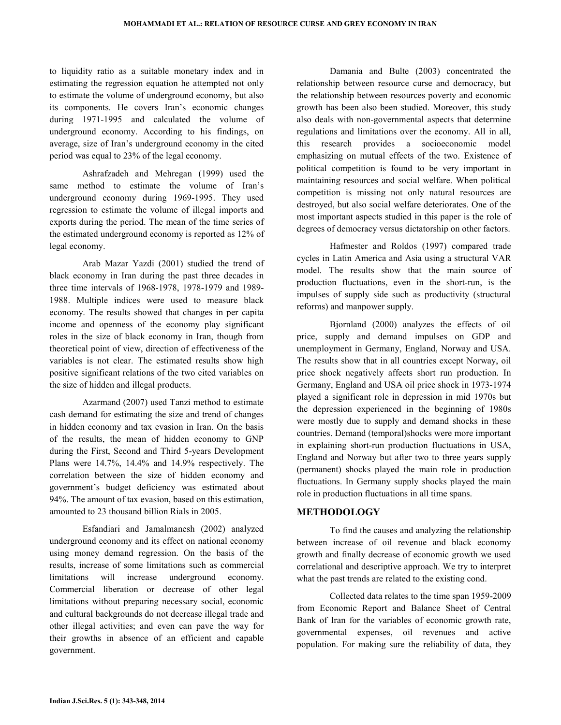to liquidity ratio as a suitable monetary index and in estimating the regression equation he attempted not only to estimate the volume of underground economy, but also its components. He covers Iran's economic changes during 1971-1995 and calculated the volume of underground economy. According to his findings, on average, size of Iran's underground economy in the cited period was equal to 23% of the legal economy.

 Ashrafzadeh and Mehregan (1999) used the same method to estimate the volume of Iran's underground economy during 1969-1995. They used regression to estimate the volume of illegal imports and exports during the period. The mean of the time series of the estimated underground economy is reported as 12% of legal economy.

 Arab Mazar Yazdi (2001) studied the trend of black economy in Iran during the past three decades in three time intervals of 1968-1978, 1978-1979 and 1989- 1988. Multiple indices were used to measure black economy. The results showed that changes in per capita income and openness of the economy play significant roles in the size of black economy in Iran, though from theoretical point of view, direction of effectiveness of the variables is not clear. The estimated results show high positive significant relations of the two cited variables on the size of hidden and illegal products.

 Azarmand (2007) used Tanzi method to estimate cash demand for estimating the size and trend of changes in hidden economy and tax evasion in Iran. On the basis of the results, the mean of hidden economy to GNP during the First, Second and Third 5-years Development Plans were 14.7%, 14.4% and 14.9% respectively. The correlation between the size of hidden economy and government's budget deficiency was estimated about 94%. The amount of tax evasion, based on this estimation, amounted to 23 thousand billion Rials in 2005.

 Esfandiari and Jamalmanesh (2002) analyzed underground economy and its effect on national economy using money demand regression. On the basis of the results, increase of some limitations such as commercial limitations will increase underground economy. Commercial liberation or decrease of other legal limitations without preparing necessary social, economic and cultural backgrounds do not decrease illegal trade and other illegal activities; and even can pave the way for their growths in absence of an efficient and capable government.

 Damania and Bulte (2003) concentrated the relationship between resource curse and democracy, but the relationship between resources poverty and economic growth has been also been studied. Moreover, this study also deals with non-governmental aspects that determine regulations and limitations over the economy. All in all, this research provides a socioeconomic model emphasizing on mutual effects of the two. Existence of political competition is found to be very important in maintaining resources and social welfare. When political competition is missing not only natural resources are destroyed, but also social welfare deteriorates. One of the most important aspects studied in this paper is the role of degrees of democracy versus dictatorship on other factors.

 Hafmester and Roldos (1997) compared trade cycles in Latin America and Asia using a structural VAR model. The results show that the main source of production fluctuations, even in the short-run, is the impulses of supply side such as productivity (structural reforms) and manpower supply.

 Bjornland (2000) analyzes the effects of oil price, supply and demand impulses on GDP and unemployment in Germany, England, Norway and USA. The results show that in all countries except Norway, oil price shock negatively affects short run production. In Germany, England and USA oil price shock in 1973-1974 played a significant role in depression in mid 1970s but the depression experienced in the beginning of 1980s were mostly due to supply and demand shocks in these countries. Demand (temporal)shocks were more important in explaining short-run production fluctuations in USA, England and Norway but after two to three years supply (permanent) shocks played the main role in production fluctuations. In Germany supply shocks played the main role in production fluctuations in all time spans.

## METHODOLOGY

 To find the causes and analyzing the relationship between increase of oil revenue and black economy growth and finally decrease of economic growth we used correlational and descriptive approach. We try to interpret what the past trends are related to the existing cond.

 Collected data relates to the time span 1959-2009 from Economic Report and Balance Sheet of Central Bank of Iran for the variables of economic growth rate, governmental expenses, oil revenues and active population. For making sure the reliability of data, they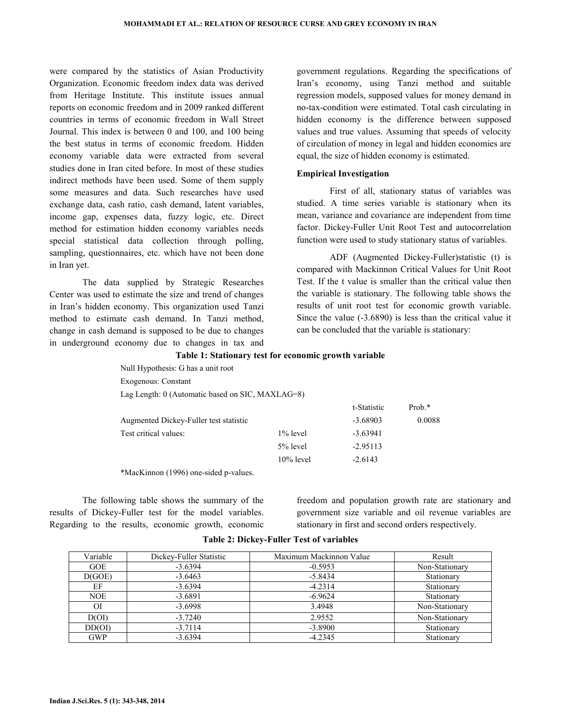were compared by the statistics of Asian Productivity Organization. Economic freedom index data was derived from Heritage Institute. This institute issues annual reports on economic freedom and in 2009 ranked different countries in terms of economic freedom in Wall Street Journal. This index is between 0 and 100, and 100 being the best status in terms of economic freedom. Hidden economy variable data were extracted from several studies done in Iran cited before. In most of these studies indirect methods have been used. Some of them supply some measures and data. Such researches have used exchange data, cash ratio, cash demand, latent variables, income gap, expenses data, fuzzy logic, etc. Direct method for estimation hidden economy variables needs special statistical data collection through polling, sampling, questionnaires, etc. which have not been done in Iran yet.

 The data supplied by Strategic Researches Center was used to estimate the size and trend of changes in Iran's hidden economy. This organization used Tanzi method to estimate cash demand. In Tanzi method, change in cash demand is supposed to be due to changes in underground economy due to changes in tax and

government regulations. Regarding the specifications of Iran's economy, using Tanzi method and suitable regression models, supposed values for money demand in no-tax-condition were estimated. Total cash circulating in hidden economy is the difference between supposed values and true values. Assuming that speeds of velocity of circulation of money in legal and hidden economies are equal, the size of hidden economy is estimated.

#### Empirical Investigation

 First of all, stationary status of variables was studied. A time series variable is stationary when its mean, variance and covariance are independent from time factor. Dickey-Fuller Unit Root Test and autocorrelation function were used to study stationary status of variables.

 ADF (Augmented Dickey-Fuller)statistic (t) is compared with Mackinnon Critical Values for Unit Root Test. If the t value is smaller than the critical value then the variable is stationary. The following table shows the results of unit root test for economic growth variable. Since the value (-3.6890) is less than the critical value it can be concluded that the variable is stationary:

#### Table 1: Stationary test for economic growth variable

| Null Hypothesis: G has a unit root               |              |             |           |
|--------------------------------------------------|--------------|-------------|-----------|
| Exogenous: Constant                              |              |             |           |
| Lag Length: 0 (Automatic based on SIC, MAXLAG=8) |              |             |           |
|                                                  |              | t-Statistic | Prob. $*$ |
| Augmented Dickey-Fuller test statistic           |              | $-3.68903$  | 0.0088    |
| Test critical values:                            | $1\%$ level  | $-3.63941$  |           |
|                                                  | $5%$ level   | $-2.95113$  |           |
|                                                  | $10\%$ level | $-2.6143$   |           |
|                                                  |              |             |           |

\*MacKinnon (1996) one-sided p-values.

 The following table shows the summary of the results of Dickey-Fuller test for the model variables. Regarding to the results, economic growth, economic

freedom and population growth rate are stationary and government size variable and oil revenue variables are stationary in first and second orders respectively.

| Variable   | Dickey-Fuller Statistic | Maximum Mackinnon Value | Result         |
|------------|-------------------------|-------------------------|----------------|
| <b>GOE</b> | $-3.6394$               | $-0.5953$               | Non-Stationary |
| D(GOE)     | $-3.6463$               | $-5.8434$               | Stationary     |
| EF         | $-3.6394$               | $-4.2314$               | Stationary     |
| <b>NOE</b> | $-3.6891$               | $-6.9624$               | Stationary     |
| <b>OI</b>  | $-3.6998$               | 3.4948                  | Non-Stationary |
| D(OI)      | $-3.7240$               | 2.9552                  | Non-Stationary |
| DD(OI)     | $-3.7114$               | $-3.8900$               | Stationary     |
| <b>GWP</b> | $-3.6394$               | $-4.2345$               | Stationary     |

Table 2: Dickey-Fuller Test of variables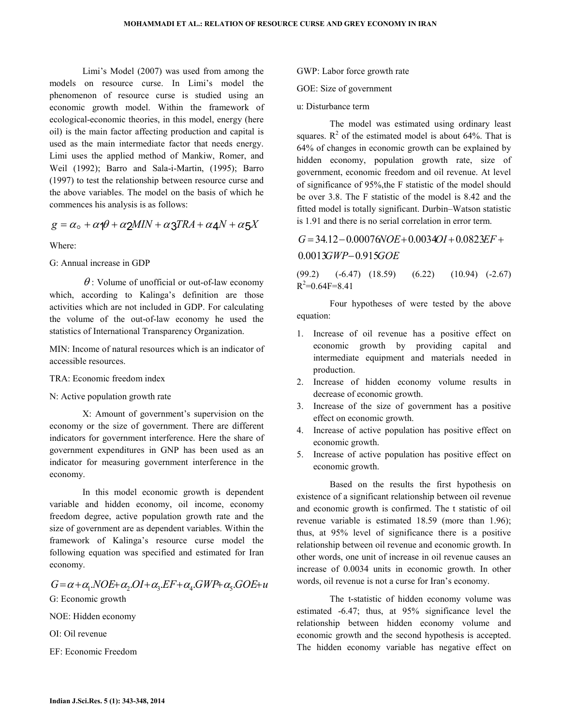Limi's Model (2007) was used from among the models on resource curse. In Limi's model the phenomenon of resource curse is studied using an economic growth model. Within the framework of ecological-economic theories, in this model, energy (here oil) is the main factor affecting production and capital is used as the main intermediate factor that needs energy. Limi uses the applied method of Mankiw, Romer, and Weil (1992); Barro and Sala-i-Martin, (1995); Barro (1997) to test the relationship between resource curse and the above variables. The model on the basis of which he commences his analysis is as follows:

$$
g = \alpha_{\rm o} + \alpha_1 \theta + \alpha_2 M I N + \alpha_3 T R A + \alpha_4 N + \alpha_5 X
$$

Where:

G: Annual increase in GDP

 $\theta$ : Volume of unofficial or out-of-law economy which, according to Kalinga's definition are those activities which are not included in GDP. For calculating the volume of the out-of-law economy he used the statistics of International Transparency Organization.

MIN: Income of natural resources which is an indicator of accessible resources.

- TRA: Economic freedom index
- N: Active population growth rate

 X: Amount of government's supervision on the economy or the size of government. There are different indicators for government interference. Here the share of government expenditures in GNP has been used as an indicator for measuring government interference in the economy.

 In this model economic growth is dependent variable and hidden economy, oil income, economy freedom degree, active population growth rate and the size of government are as dependent variables. Within the framework of Kalinga's resource curse model the following equation was specified and estimated for Iran economy.

 $G = \alpha + \alpha_1 NOE + \alpha_2 OI + \alpha_3 EF + \alpha_4 GWP + \alpha_5 GOE + u$ G: Economic growth

NOE: Hidden economy

OI: Oil revenue

EF: Economic Freedom

- GWP: Labor force growth rate
- GOE: Size of government
- u: Disturbance term

 The model was estimated using ordinary least squares.  $R^2$  of the estimated model is about 64%. That is 64% of changes in economic growth can be explained by hidden economy, population growth rate, size of government, economic freedom and oil revenue. At level of significance of 95%,the F statistic of the model should be over 3.8. The F statistic of the model is 8.42 and the fitted model is totally significant. Durbin–Watson statistic is 1.91 and there is no serial correlation in error term.

 $0.0013 GWP - 0.915 GOE$  $G = 34.12 - 0.00076 \text{N}$ OE + 0.0034OI + 0.0823EF +

(99.2) (-6.47) (18.59) (6.22) (10.94) (-2.67)  $R^2$ =0.64F=8.41

 Four hypotheses of were tested by the above equation:

- 1. Increase of oil revenue has a positive effect on economic growth by providing capital and intermediate equipment and materials needed in production.
- 2. Increase of hidden economy volume results in decrease of economic growth.
- 3. Increase of the size of government has a positive effect on economic growth.
- 4. Increase of active population has positive effect on economic growth.
- 5. Increase of active population has positive effect on economic growth.

 Based on the results the first hypothesis on existence of a significant relationship between oil revenue and economic growth is confirmed. The t statistic of oil revenue variable is estimated 18.59 (more than 1.96); thus, at 95% level of significance there is a positive relationship between oil revenue and economic growth. In other words, one unit of increase in oil revenue causes an increase of 0.0034 units in economic growth. In other words, oil revenue is not a curse for Iran's economy.

 The t-statistic of hidden economy volume was estimated -6.47; thus, at 95% significance level the relationship between hidden economy volume and economic growth and the second hypothesis is accepted. The hidden economy variable has negative effect on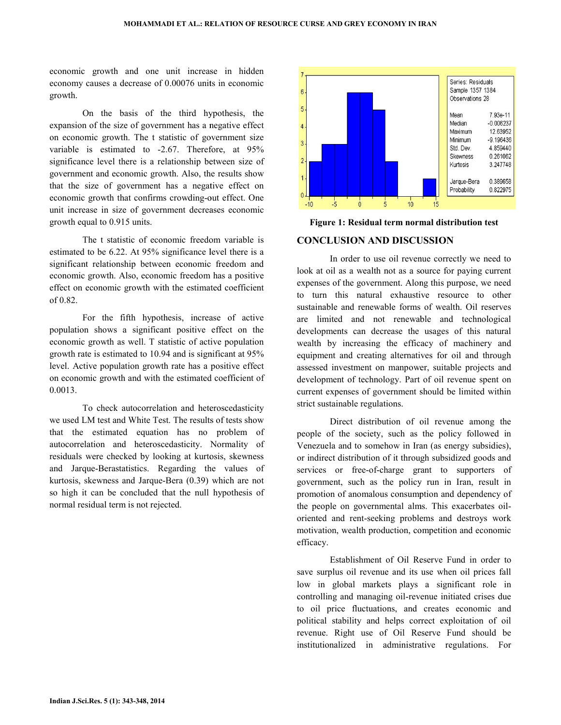economic growth and one unit increase in hidden economy causes a decrease of 0.00076 units in economic growth.

On the basis of the third hypothesis, the expansion of the size of government has a negative effect on economic growth. The t statistic of government size variable is estimated to -2.67. Therefore, at 95% significance level there is a relationship between size of government and economic growth. Also, the results show that the size of government has a negative effect on economic growth that confirms crowding-out effect. One unit increase in size of government decreases economic growth equal to 0.915 units. economic growth and one unit increase in hidden<br>economy causes a decrease of 0.00076 units in economic<br>growth.<br>On the basis of the third hypothesis, the<br>expansion of the size of government has a negative effect<br>on economic

The t statistic of economic freedom variable is estimated to be 6.22. At 95% significance level there is a significant relationship between economic freedom and economic growth. Also, economic freedom has a effect on economic growth with the estimated coefficient of 0.82.

For the fifth hypothesis, increase of active population shows a significant positive effect on the economic growth as well. T statistic of active population growth rate is estimated to 10.94 and is significant at 95% level. Active population growth rate has a positive effect on economic growth and with the estimated coefficient of 0.0013. effect on economic growth with the estimated coefficient<br>of 0.82.<br>For the fifth hypothesis, increase of active<br>population shows a significant positive effect on the<br>economic growth as well. T statistic of active population

To check autocorrelation and heteroscedasticity we used LM test and White Test. The results of tests show that the estimated equation has no problem of autocorrelation and heteroscedasticity. Normality of residuals were checked by looking at kurtosis, skewness and Jarque-Berastatistics. Regarding the values of kurtosis, skewness and Jarque-Bera (0.39) which are not so high it can be concluded that the null hypothesis of normal residual term is not rejected.



#### CONCLUSION AND DISCUSSION

Expect 1: Residual term normal distribution test<br>
Sestimated to be 6.22. At 95% significance level there is a<br>
significant relationship between economic freedom and<br>
significant relationship between economic freedom and<br>
l In order to use oil revenue correctly we need to look at oil as a wealth not as a source for paying current expenses of the government. Along this purpose, we need to turn this natural exhaustive resource to other sustainable and renewable forms of wealth. Oil reserves are limited and not renewable and technological developments can decrease the usages of this natural wealth by increasing the efficacy of machinery and equipment and creating alternatives for oil and through assessed investment on manpower, s suitable projects and development of technology. Part of oil revenue spent on current expenses of government should be limited within strict sustainable regulations.

Direct distribution of oil revenue among the people of the society, such as the policy followed in Venezuela and to somehow in Iran (as energy subsidies), or indirect distribution of it through subsidized goods and services or free-of-charge grant to supporters of government, such as the policy run in Iran, result in promotion of anomalous consumption and dependency of the people on governmental alms. This exacerbates oil oriented and rent-seeking problems and destroys work motivation, wealth production, competition and economic efficacy. charge grant to supporters of<br>the policy run in Iran, result in<br>us consumption and dependency of<br>mental alms. This exacerbates oil-

Establishment of Oil Reserve Fund in order to save surplus oil revenue and its use when oil prices fall low in global markets plays a significant role in controlling and managing oil-revenue initiated crises due to oil price fluctuations, and creates economic and political stability and helps correct exploitation of oil revenue. Right use of Oil Reserve Fund should be institutionalized in administrative regulations. For and rent-seeking problems and destroys work<br>on, wealth production, competition and economic<br>Establishment of Oil Reserve Fund in order to<br>plus oil revenue and its use when oil prices fall<br>global markets plays a significant